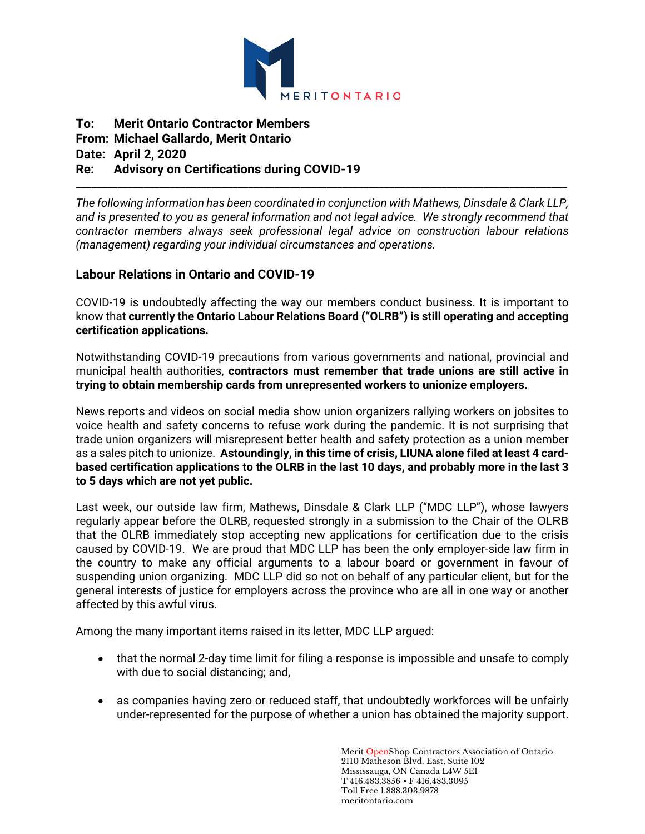

## **To: Merit Ontario Contractor Members From: Michael Gallardo, Merit Ontario Date: April 2, 2020 Re: Advisory on Certifications during COVID-19**

*The following information has been coordinated in conjunction with Mathews, Dinsdale & Clark LLP, and is presented to you as general information and not legal advice. We strongly recommend that contractor members always seek professional legal advice on construction labour relations (management) regarding your individual circumstances and operations.*

\_\_\_\_\_\_\_\_\_\_\_\_\_\_\_\_\_\_\_\_\_\_\_\_\_\_\_\_\_\_\_\_\_\_\_\_\_\_\_\_\_\_\_\_\_\_\_\_\_\_\_\_\_\_\_\_\_\_\_\_\_\_\_\_\_\_\_\_\_\_\_\_\_\_\_\_\_\_\_\_\_\_\_\_\_\_\_\_\_\_\_\_\_\_

## **Labour Relations in Ontario and COVID-19**

COVID-19 is undoubtedly affecting the way our members conduct business. It is important to know that **currently the Ontario Labour Relations Board ("OLRB") is still operating and accepting certification applications.** 

Notwithstanding COVID-19 precautions from various governments and national, provincial and municipal health authorities, **contractors must remember that trade unions are still active in trying to obtain membership cards from unrepresented workers to unionize employers.**

News reports and videos on social media show union organizers rallying workers on jobsites to voice health and safety concerns to refuse work during the pandemic. It is not surprising that trade union organizers will misrepresent better health and safety protection as a union member as a sales pitch to unionize. **Astoundingly, in this time of crisis, LIUNA alone filed at least 4 cardbased certification applications to the OLRB in the last 10 days, and probably more in the last 3 to 5 days which are not yet public.**

Last week, our outside law firm, Mathews, Dinsdale & Clark LLP ("MDC LLP"), whose lawyers regularly appear before the OLRB, requested strongly in a submission to the Chair of the OLRB that the OLRB immediately stop accepting new applications for certification due to the crisis caused by COVID-19. We are proud that MDC LLP has been the only employer-side law firm in the country to make any official arguments to a labour board or government in favour of suspending union organizing. MDC LLP did so not on behalf of any particular client, but for the general interests of justice for employers across the province who are all in one way or another affected by this awful virus.

Among the many important items raised in its letter, MDC LLP argued:

- that the normal 2-day time limit for filing a response is impossible and unsafe to comply with due to social distancing; and,
- as companies having zero or reduced staff, that undoubtedly workforces will be unfairly under-represented for the purpose of whether a union has obtained the majority support.

Merit OpenShop Contractors Association of Ontario 2110 Matheson Blvd. East, Suite 102 Mississauga, ON Canada L4W 5E1 T 416.483.3856 • F 416.483.3095 Toll Free 1.888.303.9878 meritontario.com